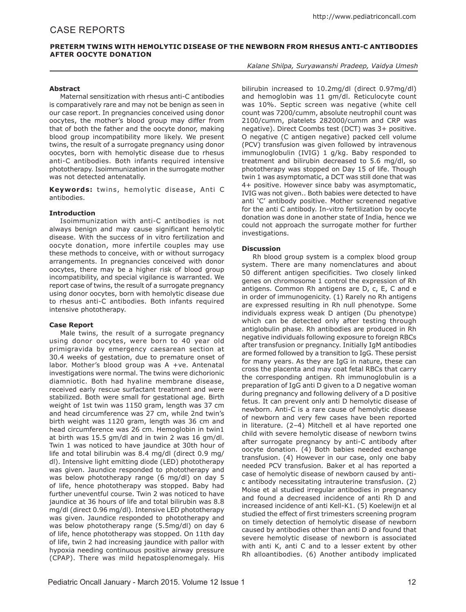# **Preterm Twins with Hemolytic Disease of the Newborn from Rhesus Anti-C Antibodies after Oocyte Donation**

### *Kalane Shilpa, Suryawanshi Pradeep, Vaidya Umesh*

## **Abstract**

Maternal sensitization with rhesus anti-C antibodies is comparatively rare and may not be benign as seen in our case report. In pregnancies conceived using donor oocytes, the mother's blood group may differ from that of both the father and the oocyte donor, making blood group incompatibility more likely. We present twins, the result of a surrogate pregnancy using donor oocytes, born with hemolytic disease due to rhesus anti-C antibodies. Both infants required intensive phototherapy. Isoimmunization in the surrogate mother was not detected antenatally.

**Keywords:** twins, hemolytic disease, Anti C antibodies.

### **Introduction**

Isoimmunization with anti-C antibodies is not always benign and may cause significant hemolytic disease. With the success of in vitro fertilization and oocyte donation, more infertile couples may use these methods to conceive, with or without surrogacy arrangements. In pregnancies conceived with donor oocytes, there may be a higher risk of blood group incompatibility, and special vigilance is warranted. We report case of twins, the result of a surrogate pregnancy using donor oocytes, born with hemolytic disease due to rhesus anti-C antibodies. Both infants required intensive phototherapy.

#### **Case Report**

Male twins, the result of a surrogate pregnancy using donor oocytes, were born to 40 year old primigravida by emergency caesarean section at 30.4 weeks of gestation, due to premature onset of labor. Mother's blood group was A +ve. Antenatal investigations were normal. The twins were dichorionic diamniotic. Both had hyaline membrane disease, received early rescue surfactant treatment and were stabilized. Both were small for gestational age. Birth weight of 1st twin was 1150 gram, length was 37 cm and head circumference was 27 cm, while 2nd twin's birth weight was 1120 gram, length was 36 cm and head circumference was 26 cm. Hemoglobin in twin1 at birth was 15.5 gm/dl and in twin 2 was 16 gm/dl. Twin 1 was noticed to have jaundice at 30th hour of life and total bilirubin was 8.4 mg/dl (direct 0.9 mg/ dl). Intensive light emitting diode (LED) phototherapy was given. Jaundice responded to phototherapy and was below phototherapy range (6 mg/dl) on day 5 of life, hence phototherapy was stopped. Baby had further uneventful course. Twin 2 was noticed to have jaundice at 36 hours of life and total bilirubin was 8.8 mg/dl (direct 0.96 mg/dl). Intensive LED phototherapy was given. Jaundice responded to phototherapy and was below phototherapy range (5.5mg/dl) on day 6 of life, hence phototherapy was stopped. On 11th day of life, twin 2 had increasing jaundice with pallor with hypoxia needing continuous positive airway pressure (CPAP). There was mild hepatosplenomegaly. His

bilirubin increased to 10.2mg/dl (direct 0.97mg/dl) and hemoglobin was 11 gm/dl. Reticulocyte count was 10%. Septic screen was negative (white cell count was 7200/cumm, absolute neutrophil count was 2100/cumm, platelets 282000/cumm and CRP was negative). Direct Coombs test (DCT) was 3+ positive. O negative (C antigen negative) packed cell volume (PCV) transfusion was given followed by intravenous immunoglobulin (IVIG) 1 g/kg. Baby responded to treatment and bilirubin decreased to 5.6 mg/dl, so phototherapy was stopped on Day 15 of life. Though twin 1 was asymptomatic, a DCT was still done that was 4+ positive. However since baby was asymptomatic, IVIG was not given.. Both babies were detected to have anti 'C' antibody positive. Mother screened negative for the anti C antibody. In-vitro fertilization by oocyte donation was done in another state of India, hence we could not approach the surrogate mother for further investigations.

# **Discussion**

Rh blood group system is a complex blood group system. There are many nomenclatures and about 50 different antigen specificities. Two closely linked genes on chromosome 1 control the expression of Rh antigens. Common Rh antigens are D, c, E, C and e in order of immunogenicity. (1) Rarely no Rh antigens are expressed resulting in Rh null phenotype. Some individuals express weak D antigen (Du phenotype) which can be detected only after testing through antiglobulin phase. Rh antibodies are produced in Rh negative individuals following exposure to foreign RBCs after transfusion or pregnancy. Initially IgM antibodies are formed followed by a transition to IgG. These persist for many years. As they are IgG in nature, these can cross the placenta and may coat fetal RBCs that carry the corresponding antigen. Rh immunoglobulin is a preparation of IgG anti D given to a D negative woman during pregnancy and following delivery of a D positive fetus. It can prevent only anti D hemolytic disease of newborn. Anti-C is a rare cause of hemolytic disease of newborn and very few cases have been reported in literature. (2–4) Mitchell et al have reported one child with severe hemolytic disease of newborn twins after surrogate pregnancy by anti-C antibody after oocyte donation. (4) Both babies needed exchange transfusion. (4) However in our case, only one baby needed PCV transfusion. Baker et al has reported a case of hemolytic disease of newborn caused by antic antibody necessitating intrauterine transfusion. (2) Moise et al studied irregular antibodies in pregnancy and found a decreased incidence of anti Rh D and increased incidence of anti Kell-K1. (5) Koelewijn et al studied the effect of first trimesters screening program on timely detection of hemolytic disease of newborn caused by antibodies other than anti D and found that severe hemolytic disease of newborn is associated with anti K, anti C and to a lesser extent by other Rh alloantibodies. (6) Another antibody implicated